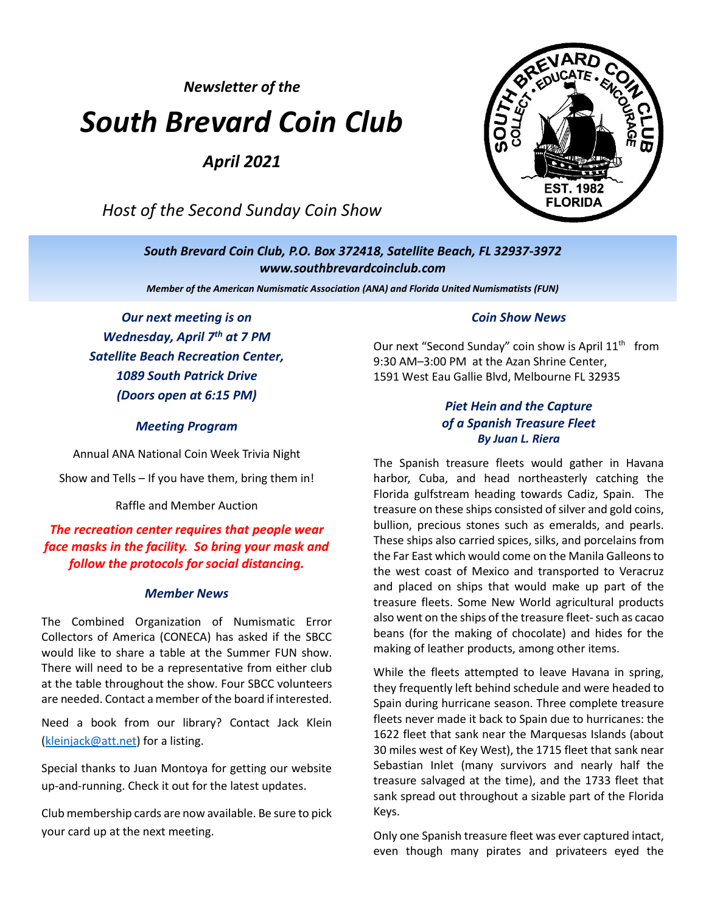*Newsletter of the*

# *South Brevard Coin Club*

*April 2021*

*Host of the Second Sunday Coin Show*



*South Brevard Coin Club, P.O. Box 372418, Satellite Beach, FL 32937-3972 [www.southbrevardcoinclub.com](http://www.southbrevardcoinclub.com/)*

*Member of the American Numismatic Association (ANA) and Florida United Numismatists (FUN)*

*Our next meeting is on Wednesday, April 7 th at 7 PM Satellite Beach Recreation Center, 1089 South Patrick Drive (Doors open at 6:15 PM)*

#### *Meeting Program*

Annual ANA National Coin Week Trivia Night Show and Tells – If you have them, bring them in!

Raffle and Member Auction

# *The recreation center requires that people wear face masks in the facility. So bring your mask and follow the protocols for social distancing.*

#### *Member News*

The Combined Organization of Numismatic Error Collectors of America (CONECA) has asked if the SBCC would like to share a table at the Summer FUN show. There will need to be a representative from either club at the table throughout the show. Four SBCC volunteers are needed. Contact a member of the board if interested.

Need a book from our library? Contact Jack Klein [\(kleinjack@att.net\)](mailto:kleinjack@att.net) for a listing.

Special thanks to Juan Montoya for getting our website up-and-running. Check it out for the latest updates.

Club membership cards are now available. Be sure to pick your card up at the next meeting.

#### *Coin Show News*

Our next "Second Sunday" coin show is April  $11<sup>th</sup>$  from 9:30 AM–3:00 PM at the Azan Shrine Center, 1591 West Eau Gallie Blvd, Melbourne FL 32935

## *Piet Hein and the Capture of a Spanish Treasure Fleet By Juan L. Riera*

The Spanish treasure fleets would gather in Havana harbor, Cuba, and head northeasterly catching the Florida gulfstream heading towards Cadiz, Spain. The treasure on these ships consisted of silver and gold coins, bullion, precious stones such as emeralds, and pearls. These ships also carried spices, silks, and porcelains from the Far East which would come on the Manila Galleons to the west coast of Mexico and transported to Veracruz and placed on ships that would make up part of the treasure fleets. Some New World agricultural products also went on the ships of the treasure fleet-such as cacao beans (for the making of chocolate) and hides for the making of leather products, among other items.

While the fleets attempted to leave Havana in spring, they frequently left behind schedule and were headed to Spain during hurricane season. Three complete treasure fleets never made it back to Spain due to hurricanes: the 1622 fleet that sank near the Marquesas Islands (about 30 miles west of Key West), the 1715 fleet that sank near Sebastian Inlet (many survivors and nearly half the treasure salvaged at the time), and the 1733 fleet that sank spread out throughout a sizable part of the Florida Keys.

Only one Spanish treasure fleet was ever captured intact, even though many pirates and privateers eyed the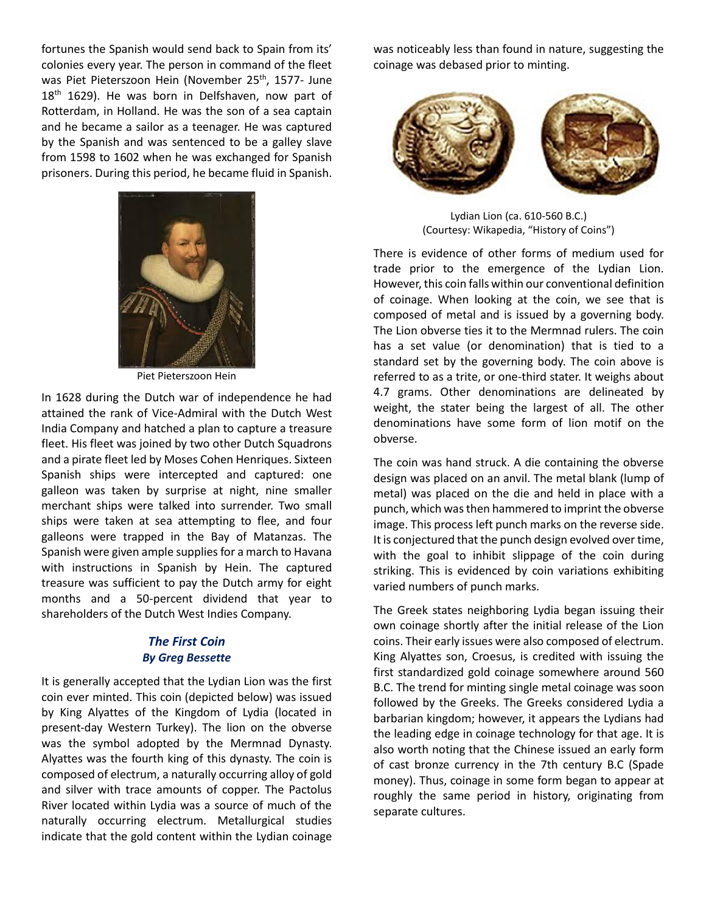fortunes the Spanish would send back to Spain from its' colonies every year. The person in command of the fleet was Piet Pieterszoon Hein (November 25<sup>th</sup>, 1577- June 18<sup>th</sup> 1629). He was born in Delfshaven, now part of Rotterdam, in Holland. He was the son of a sea captain and he became a sailor as a teenager. He was captured by the Spanish and was sentenced to be a galley slave from 1598 to 1602 when he was exchanged for Spanish prisoners. During this period, he became fluid in Spanish.



Piet Pieterszoon Hein

In 1628 during the Dutch war of independence he had attained the rank of Vice-Admiral with the Dutch West India Company and hatched a plan to capture a treasure fleet. His fleet was joined by two other Dutch Squadrons and a pirate fleet led by Moses Cohen Henriques. Sixteen Spanish ships were intercepted and captured: one galleon was taken by surprise at night, nine smaller merchant ships were talked into surrender. Two small ships were taken at sea attempting to flee, and four galleons were trapped in the Bay of Matanzas. The Spanish were given ample supplies for a march to Havana with instructions in Spanish by Hein. The captured treasure was sufficient to pay the Dutch army for eight months and a 50-percent dividend that year to shareholders of the Dutch West Indies Company.

#### *The First Coin By Greg Bessette*

It is generally accepted that the Lydian Lion was the first coin ever minted. This coin (depicted below) was issued by King Alyattes of the Kingdom of Lydia (located in present-day Western Turkey). The lion on the obverse was the symbol adopted by the Mermnad Dynasty. Alyattes was the fourth king of this dynasty. The coin is composed of electrum, a naturally occurring alloy of gold and silver with trace amounts of copper. The Pactolus River located within Lydia was a source of much of the naturally occurring electrum. Metallurgical studies indicate that the gold content within the Lydian coinage

was noticeably less than found in nature, suggesting the coinage was debased prior to minting.



Lydian Lion (ca. 610-560 B.C.) (Courtesy: Wikapedia, "History of Coins")

There is evidence of other forms of medium used for trade prior to the emergence of the Lydian Lion. However, this coin falls within our conventional definition of coinage. When looking at the coin, we see that is composed of metal and is issued by a governing body. The Lion obverse ties it to the Mermnad rulers. The coin has a set value (or denomination) that is tied to a standard set by the governing body. The coin above is referred to as a trite, or one-third stater. It weighs about 4.7 grams. Other denominations are delineated by weight, the stater being the largest of all. The other denominations have some form of lion motif on the obverse.

The coin was hand struck. A die containing the obverse design was placed on an anvil. The metal blank (lump of metal) was placed on the die and held in place with a punch, which was then hammered to imprint the obverse image. This process left punch marks on the reverse side. It is conjectured that the punch design evolved over time, with the goal to inhibit slippage of the coin during striking. This is evidenced by coin variations exhibiting varied numbers of punch marks.

The Greek states neighboring Lydia began issuing their own coinage shortly after the initial release of the Lion coins. Their early issues were also composed of electrum. King Alyattes son, Croesus, is credited with issuing the first standardized gold coinage somewhere around 560 B.C. The trend for minting single metal coinage was soon followed by the Greeks. The Greeks considered Lydia a barbarian kingdom; however, it appears the Lydians had the leading edge in coinage technology for that age. It is also worth noting that the Chinese issued an early form of cast bronze currency in the 7th century B.C (Spade money). Thus, coinage in some form began to appear at roughly the same period in history, originating from separate cultures.